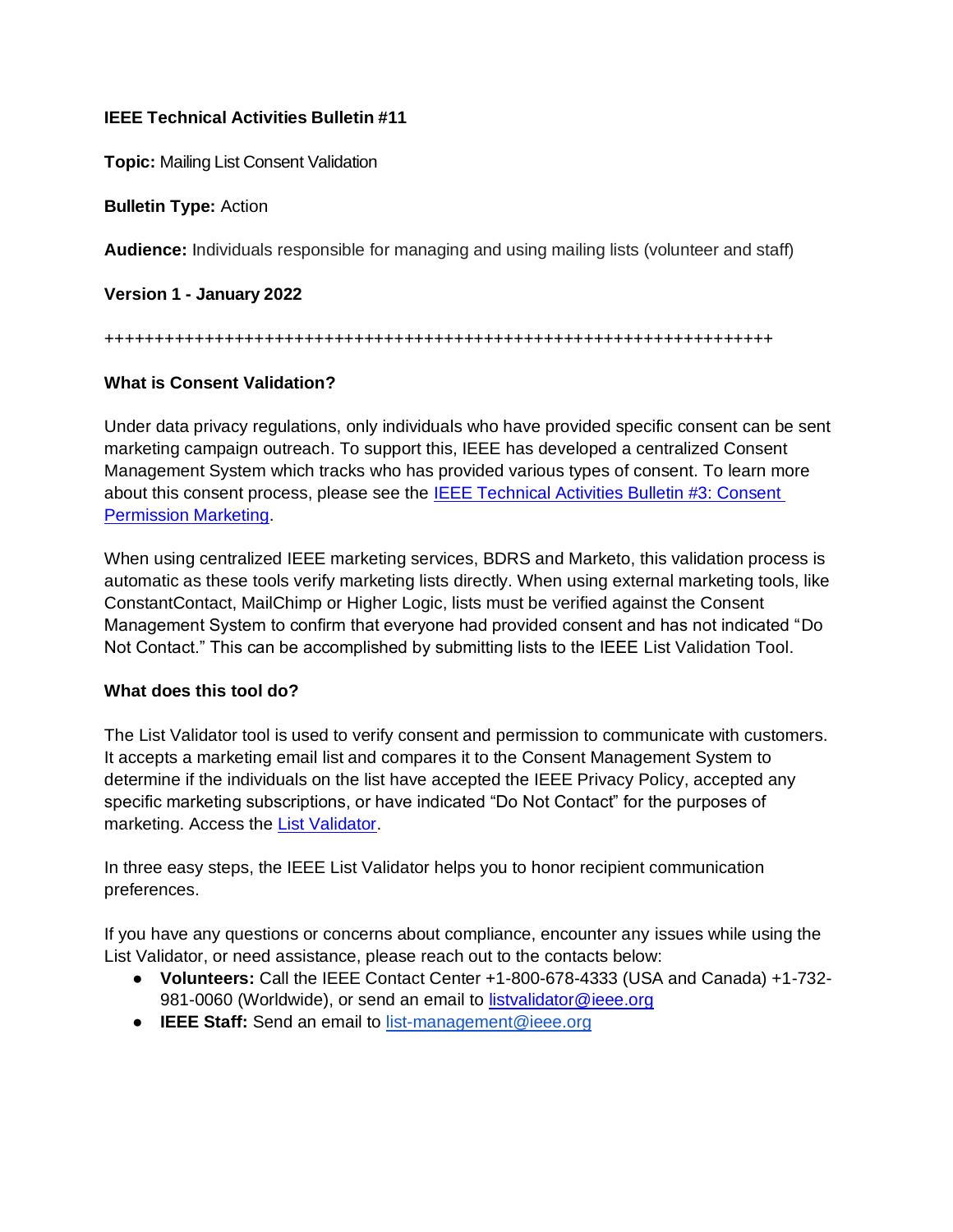## **IEEE Technical Activities Bulletin #11**

**Topic:** Mailing List Consent Validation

**Bulletin Type:** Action

**Audience:** Individuals responsible for managing and using mailing lists (volunteer and staff)

**Version 1 - January 2022**

+++++++++++++++++++++++++++++++++++++++++++++++++++++++++++++++++++

## **What is Consent Validation?**

Under data privacy regulations, only individuals who have provided specific consent can be sent marketing campaign outreach. To support this, IEEE has developed a centralized Consent Management System which tracks who has provided various types of consent. To learn more about this consent process, please see the [IEEE Technical Activities Bulletin #3: Consent](https://ta.ieee.org/operations/technical-activities-data-privacy-resource-page/bulletin-3-gdpr-consent-permission-marketing)  [Permission Marketing.](https://ta.ieee.org/operations/technical-activities-data-privacy-resource-page/bulletin-3-gdpr-consent-permission-marketing)

When using centralized IEEE marketing services, BDRS and Marketo, this validation process is automatic as these tools verify marketing lists directly. When using external marketing tools, like ConstantContact, MailChimp or Higher Logic, lists must be verified against the Consent Management System to confirm that everyone had provided consent and has not indicated "Do Not Contact." This can be accomplished by submitting lists to the IEEE List Validation Tool.

## **What does this tool do?**

The List Validator tool is used to verify consent and permission to communicate with customers. It accepts a marketing email list and compares it to the Consent Management System to determine if the individuals on the list have accepted the IEEE Privacy Policy, accepted any specific marketing subscriptions, or have indicated "Do Not Contact" for the purposes of marketing. Access the [List Validator.](https://www.ieee.org/ieee-listvalidator)

In three easy steps, the IEEE List Validator helps you to honor recipient communication preferences.

If you have any questions or concerns about compliance, encounter any issues while using the List Validator, or need assistance, please reach out to the contacts below:

- **Volunteers:** Call the IEEE Contact Center +1-800-678-4333 (USA and Canada) +1-732 981-0060 (Worldwide), or send an email to [listvalidator@ieee.org](mailto:listvalidator@ieee.org)
- **IEEE Staff:** Send an email to [list-management@ieee.org](mailto:list-management@ieee.org)